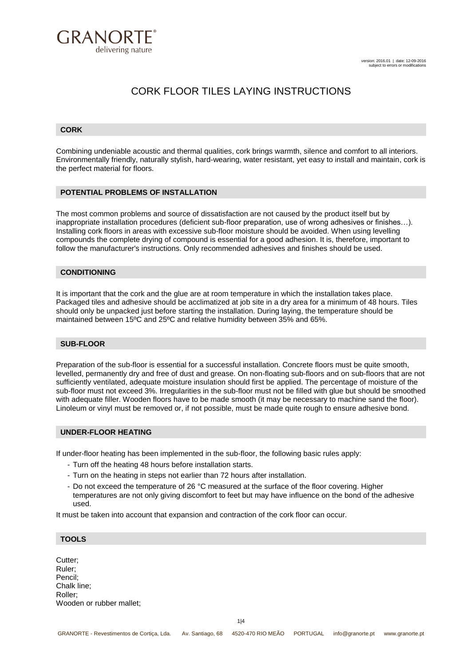

### **CORK**

Combining undeniable acoustic and thermal qualities, cork brings warmth, silence and comfort to all interiors. Environmentally friendly, naturally stylish, hard-wearing, water resistant, yet easy to install and maintain, cork is the perfect material for floors.

#### **POTENTIAL PROBLEMS OF INSTALLATION**

The most common problems and source of dissatisfaction are not caused by the product itself but by inappropriate installation procedures (deficient sub-floor preparation, use of wrong adhesives or finishes…). Installing cork floors in areas with excessive sub-floor moisture should be avoided. When using levelling compounds the complete drying of compound is essential for a good adhesion. It is, therefore, important to follow the manufacturer's instructions. Only recommended adhesives and finishes should be used.

### **CONDITIONING**

It is important that the cork and the glue are at room temperature in which the installation takes place. Packaged tiles and adhesive should be acclimatized at job site in a dry area for a minimum of 48 hours. Tiles should only be unpacked just before starting the installation. During laying, the temperature should be maintained between 15ºC and 25ºC and relative humidity between 35% and 65%.

#### **SUB-FLOOR**

Preparation of the sub-floor is essential for a successful installation. Concrete floors must be quite smooth, levelled, permanently dry and free of dust and grease. On non-floating sub-floors and on sub-floors that are not sufficiently ventilated, adequate moisture insulation should first be applied. The percentage of moisture of the sub-floor must not exceed 3%. Irregularities in the sub-floor must not be filled with glue but should be smoothed with adequate filler. Wooden floors have to be made smooth (it may be necessary to machine sand the floor). Linoleum or vinyl must be removed or, if not possible, must be made quite rough to ensure adhesive bond.

#### **UNDER-FLOOR HEATING**

If under-floor heating has been implemented in the sub-floor, the following basic rules apply:

- Turn off the heating 48 hours before installation starts.
- Turn on the heating in steps not earlier than 72 hours after installation.
- Do not exceed the temperature of 26 °C measured at the surface of the floor covering. Higher temperatures are not only giving discomfort to feet but may have influence on the bond of the adhesive used.

It must be taken into account that expansion and contraction of the cork floor can occur.

#### **TOOLS**

Cutter; Ruler; Pencil; Chalk line; Roller; Wooden or rubber mallet;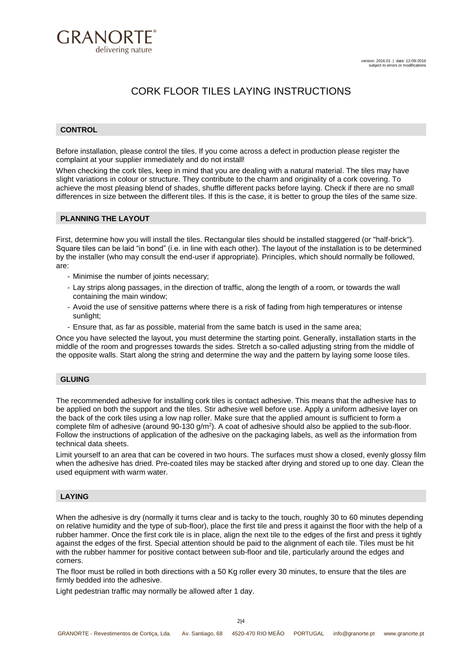

## **CONTROL**

Before installation, please control the tiles. If you come across a defect in production please register the complaint at your supplier immediately and do not install!

When checking the cork tiles, keep in mind that you are dealing with a natural material. The tiles may have slight variations in colour or structure. They contribute to the charm and originality of a cork covering. To achieve the most pleasing blend of shades, shuffle different packs before laying. Check if there are no small differences in size between the different tiles. If this is the case, it is better to group the tiles of the same size.

#### **PLANNING THE LAYOUT**

First, determine how you will install the tiles. Rectangular tiles should be installed staggered (or "half-brick"). Square tiles can be laid "in bond" (i.e. in line with each other). The layout of the installation is to be determined by the installer (who may consult the end-user if appropriate). Principles, which should normally be followed, are:

- Minimise the number of joints necessary;
- Lay strips along passages, in the direction of traffic, along the length of a room, or towards the wall containing the main window;
- Avoid the use of sensitive patterns where there is a risk of fading from high temperatures or intense sunlight;
- Ensure that, as far as possible, material from the same batch is used in the same area;

Once you have selected the layout, you must determine the starting point. Generally, installation starts in the middle of the room and progresses towards the sides. Stretch a so-called adjusting string from the middle of the opposite walls. Start along the string and determine the way and the pattern by laying some loose tiles.

#### **GLUING**

The recommended adhesive for installing cork tiles is contact adhesive. This means that the adhesive has to be applied on both the support and the tiles. Stir adhesive well before use. Apply a uniform adhesive layer on the back of the cork tiles using a low nap roller. Make sure that the applied amount is sufficient to form a complete film of adhesive (around 90-130  $g/m^2$ ). A coat of adhesive should also be applied to the sub-floor. Follow the instructions of application of the adhesive on the packaging labels, as well as the information from technical data sheets.

Limit yourself to an area that can be covered in two hours. The surfaces must show a closed, evenly glossy film when the adhesive has dried. Pre-coated tiles may be stacked after drying and stored up to one day. Clean the used equipment with warm water.

#### **LAYING**

When the adhesive is dry (normally it turns clear and is tacky to the touch, roughly 30 to 60 minutes depending on relative humidity and the type of sub-floor), place the first tile and press it against the floor with the help of a rubber hammer. Once the first cork tile is in place, align the next tile to the edges of the first and press it tightly against the edges of the first. Special attention should be paid to the alignment of each tile. Tiles must be hit with the rubber hammer for positive contact between sub-floor and tile, particularly around the edges and corners.

The floor must be rolled in both directions with a 50 Kg roller every 30 minutes, to ensure that the tiles are firmly bedded into the adhesive.

Light pedestrian traffic may normally be allowed after 1 day.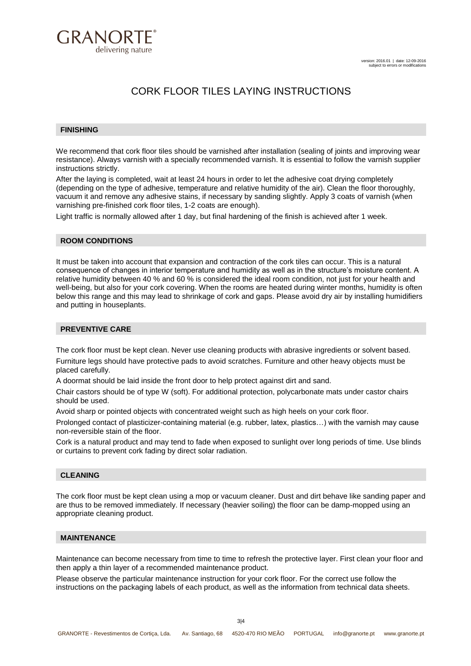

### **FINISHING**

We recommend that cork floor tiles should be varnished after installation (sealing of joints and improving wear resistance). Always varnish with a specially recommended varnish. It is essential to follow the varnish supplier instructions strictly.

After the laying is completed, wait at least 24 hours in order to let the adhesive coat drying completely (depending on the type of adhesive, temperature and relative humidity of the air). Clean the floor thoroughly, vacuum it and remove any adhesive stains, if necessary by sanding slightly. Apply 3 coats of varnish (when varnishing pre-finished cork floor tiles, 1-2 coats are enough).

Light traffic is normally allowed after 1 day, but final hardening of the finish is achieved after 1 week.

## **ROOM CONDITIONS**

It must be taken into account that expansion and contraction of the cork tiles can occur. This is a natural consequence of changes in interior temperature and humidity as well as in the structure's moisture content. A relative humidity between 40 % and 60 % is considered the ideal room condition, not just for your health and well-being, but also for your cork covering. When the rooms are heated during winter months, humidity is often below this range and this may lead to shrinkage of cork and gaps. Please avoid dry air by installing humidifiers and putting in houseplants.

# **PREVENTIVE CARE**

The cork floor must be kept clean. Never use cleaning products with abrasive ingredients or solvent based. Furniture legs should have protective pads to avoid scratches. Furniture and other heavy objects must be placed carefully.

A doormat should be laid inside the front door to help protect against dirt and sand.

Chair castors should be of type W (soft). For additional protection, polycarbonate mats under castor chairs should be used.

Avoid sharp or pointed objects with concentrated weight such as high heels on your cork floor.

Prolonged contact of plasticizer-containing material (e.g. rubber, latex, plastics…) with the varnish may cause non-reversible stain of the floor.

Cork is a natural product and may tend to fade when exposed to sunlight over long periods of time. Use blinds or curtains to prevent cork fading by direct solar radiation.

#### **CLEANING**

The cork floor must be kept clean using a mop or vacuum cleaner. Dust and dirt behave like sanding paper and are thus to be removed immediately. If necessary (heavier soiling) the floor can be damp-mopped using an appropriate cleaning product.

## **MAINTENANCE**

Maintenance can become necessary from time to time to refresh the protective layer. First clean your floor and then apply a thin layer of a recommended maintenance product.

Please observe the particular maintenance instruction for your cork floor. For the correct use follow the instructions on the packaging labels of each product, as well as the information from technical data sheets.